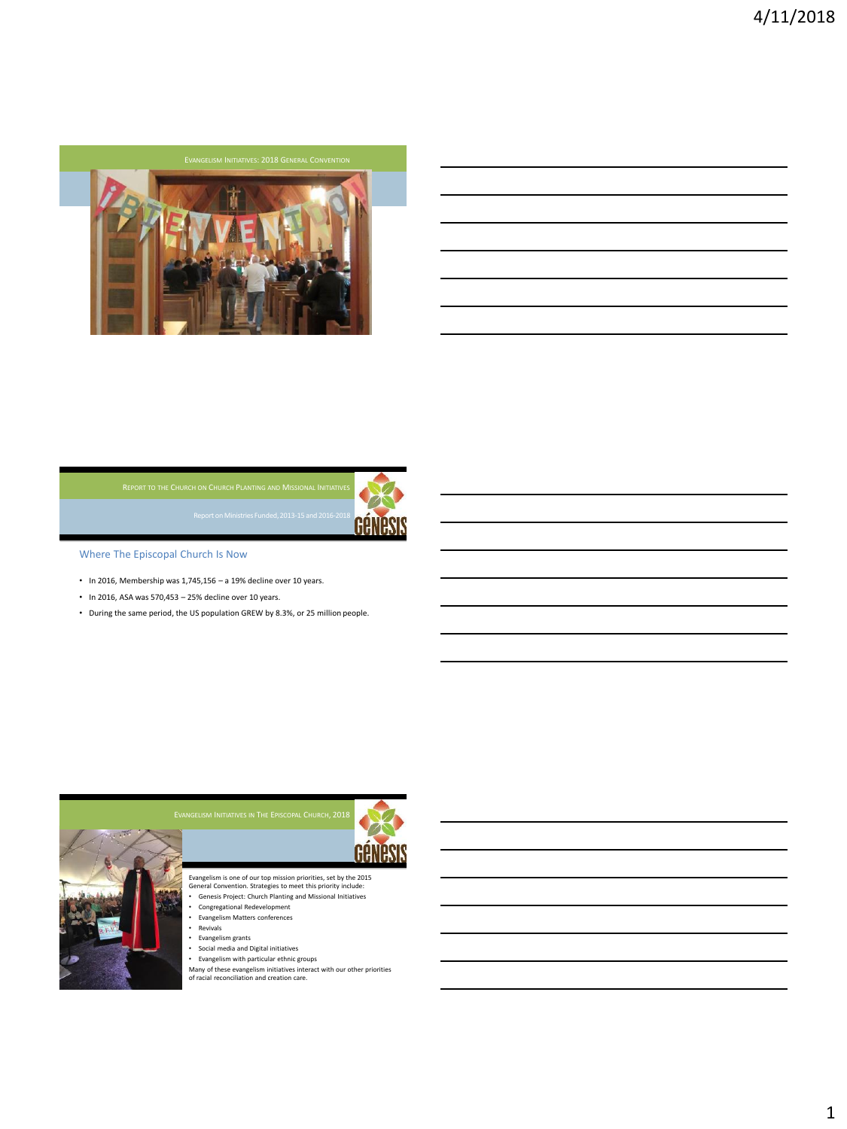



Where The Episcopal Church Is Now

- In 2016, Membership was 1,745,156 a 19% decline over 10 years.
- In 2016, ASA was 570,453 25% decline over 10 years.
- During the same period, the US population GREW by 8.3%, or 25 million people.



- Evangelism is one of our top mission priorities, set by the 2015 General Convention. Strategies to meet this priority include: Genesis Project: Church Planting and Missional Initiatives
- Congregational Redevelopment
- Evangelism Matters conferences<br>• Revivals
- Revivals
- Evangelism grants
- Social media and Digital initiatives
- 

• Evangelism with particular ethnic groups Many of these evangelism initiatives interact with our other priorities of racial reconciliation and creation care.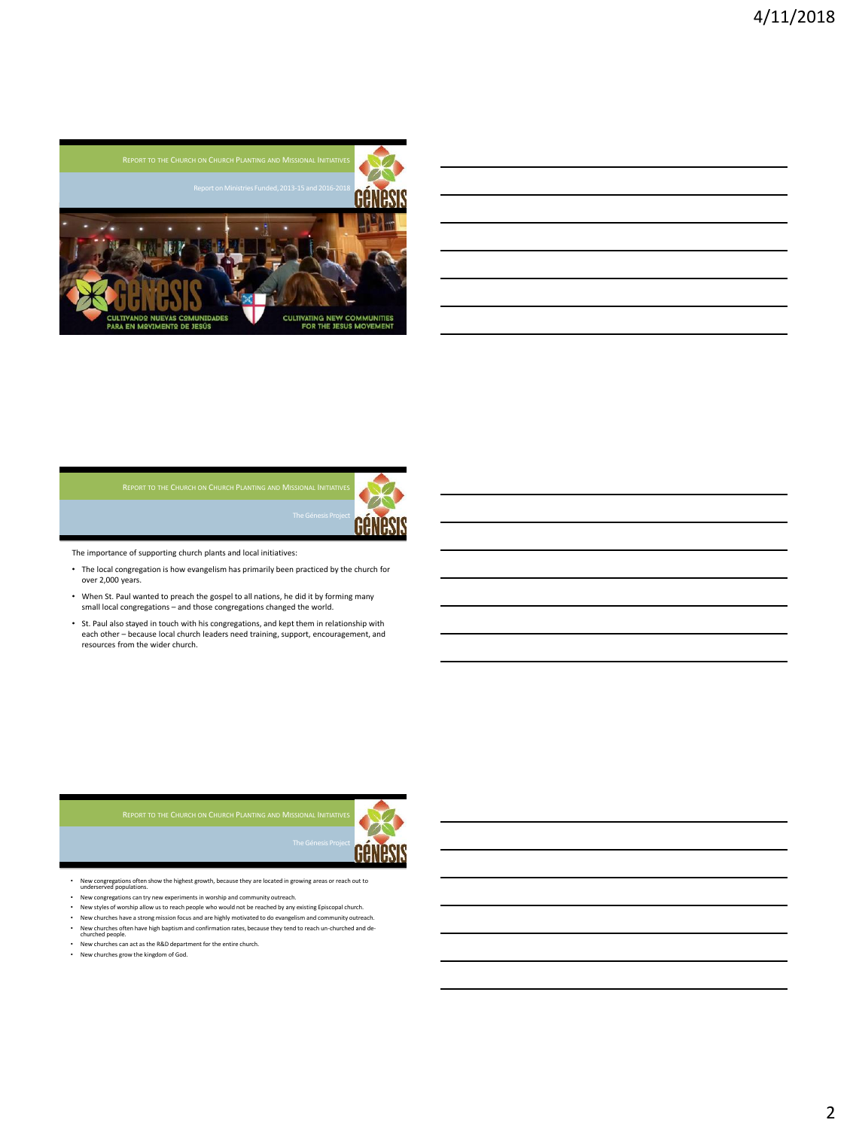



The importance of supporting church plants and local initiatives:

• The local congregation is how evangelism has primarily been practiced by the church for over 2,000 years.

The Genesis Project

- When St. Paul wanted to preach the gospel to all nations, he did it by forming many small local congregations – and those congregations changed the world.
- St. Paul also stayed in touch with his congregations, and kept them in relationship with each other – because local church leaders need training, support, encouragement, and resources from the wider church.



• New congregations often show the highest growth, because they are located in growing areas or reach out to underserved populations.

- New congregations can try new experiments in worship and community outreach.
- New styles of worship allow us to reach people who would not be reached by any existing Episcopal church. • New churches have a strong mission focus and are highly motivated to do evangelism and community outreach.
- New churches often have high baptism and confirmation rates, because they tend to reach un-churched and de-churched people.
- New churches can act as the R&D department for the entire church.
- New churches grow the kingdom of God.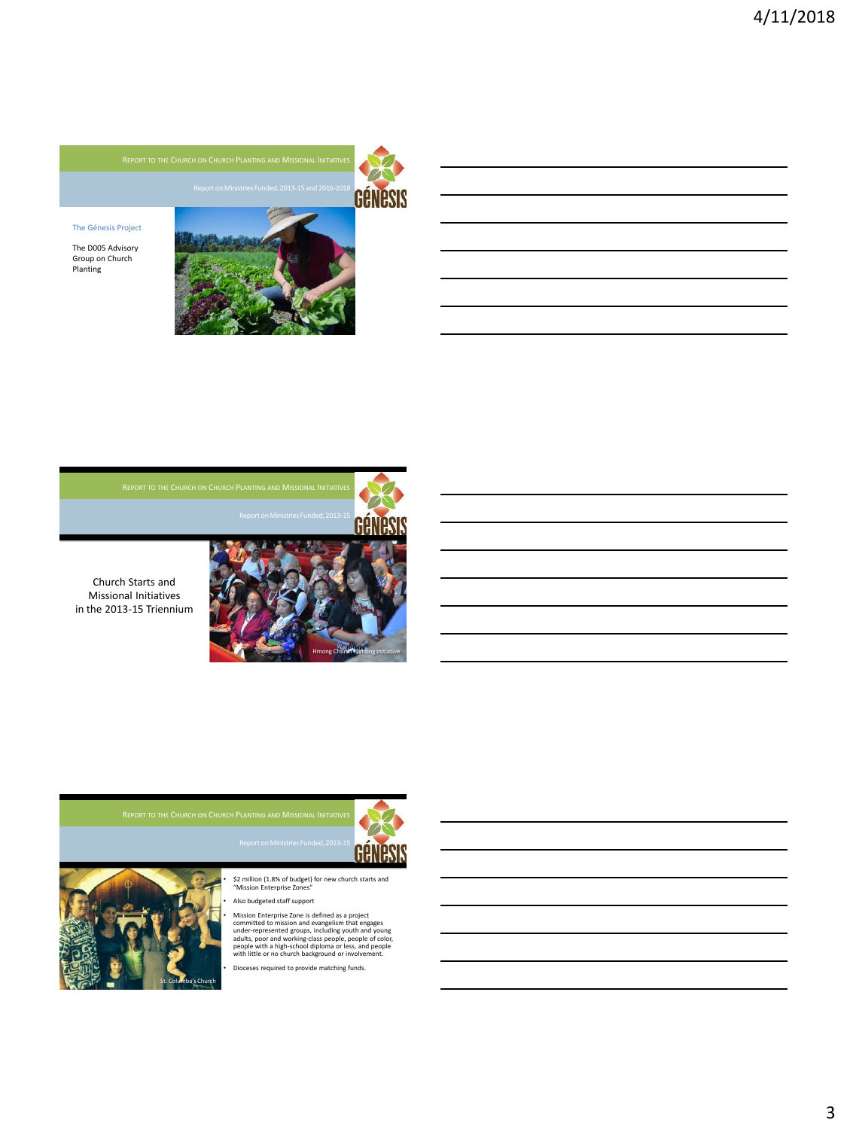

## The Génesis Project

The D005 Advisory Group on Church Planting



Church Starts and Missional Initiatives in the 2013-15 Triennium







• \$2 million (1.8% of budget) for new church starts and "Mission Enterprise Zones" • Also budgeted staff support

Mission Enterprise Zone is defined as a project<br>committed to mission and evangelism that engages<br>under-represented groups, including youth and young<br>adults, poor and working-class people, people of color,<br>people with a hig

• Dioceses required to provide matching funds.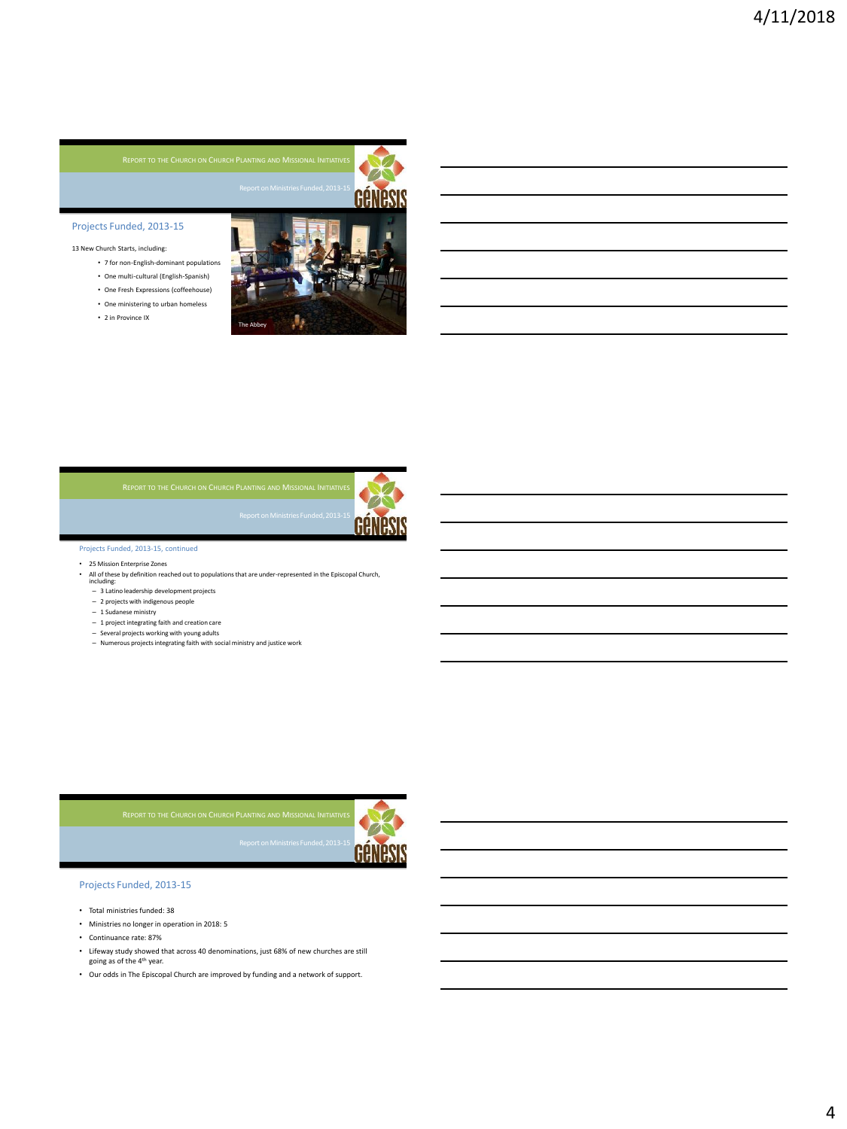

# Projects Funded, 2013-15

13 New Church Starts, including:

- 7 for non-English-dominant populations
- One multi-cultural (English-Spanish) • One Fresh Expressions (coffeehouse)
- 
- One ministering to urban homeless • 2 in Province IX
- 





## Projects Funded, 2013-15, continued

- 25 Mission Enterprise Zones<br>• All of these by definition read
- All of these by definition reached out to populations that are under-represented in the Episcopal Church, including:
	- 3 Latino leadership development projects
	- 2 projects with indigenous people
	-
	- 1 Sudanese ministry 1 project integrating faith and creation care
	- Several projects working with young adults
	- Numerous projects integrating faith with social ministry and justice work



# Projects Funded, 2013-15

- Total ministries funded: 38
- Ministries no longer in operation in 2018: 5
- Continuance rate: 87%
- Lifeway study showed that across 40 denominations, just 68% of new churches are still going as of the 4th year.

Triennium (1970)<br>Triennium

• Our odds in The Episcopal Church are improved by funding and a network of support.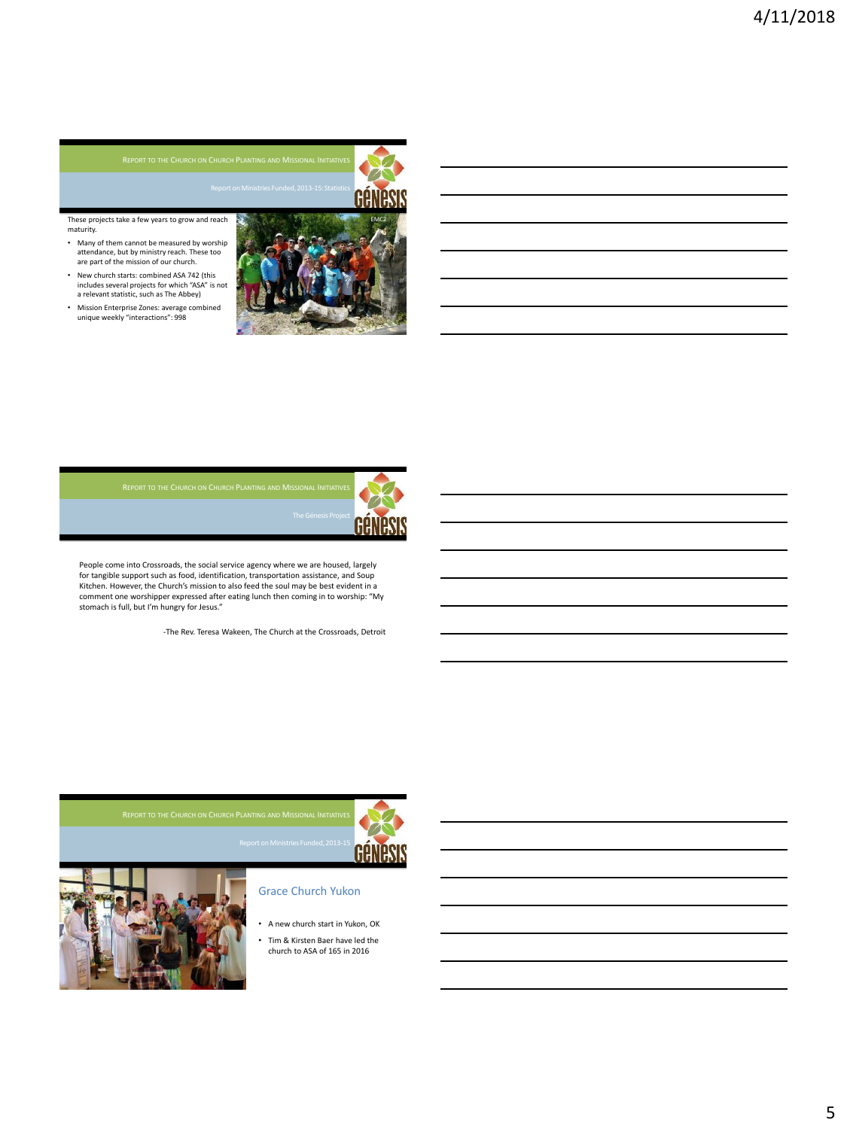These projects take a few years to grow and reach maturity.

- Many of them cannot be measured by worship attendance, but by ministry reach. These too are part of the mission of our church.
- New church starts: combined ASA 742 (this includes several projects for which "ASA" is not a relevant statistic, such as The Abbey)
- Mission Enterprise Zones: average combined unique weekly "interactions": 998







People come into Crossroads, the social service agency where we are housed, largely for tangible support such as food, identification, transportation assistance, and Soup Kitchen. However, the Church's mission to also feed the soul may be best evident in a comment one worshipper expressed after eating lunch then coming in to worship: "My stomach is full, but I'm hungry for Jesus."

Creative Ministry Initiatives

-The Rev. Teresa Wakeen, The Church at the Crossroads, Detroit





# Grace Church Yukon

- A new church start in Yukon, OK
- Tim & Kirsten Baer have led the church to ASA of 165 in 2016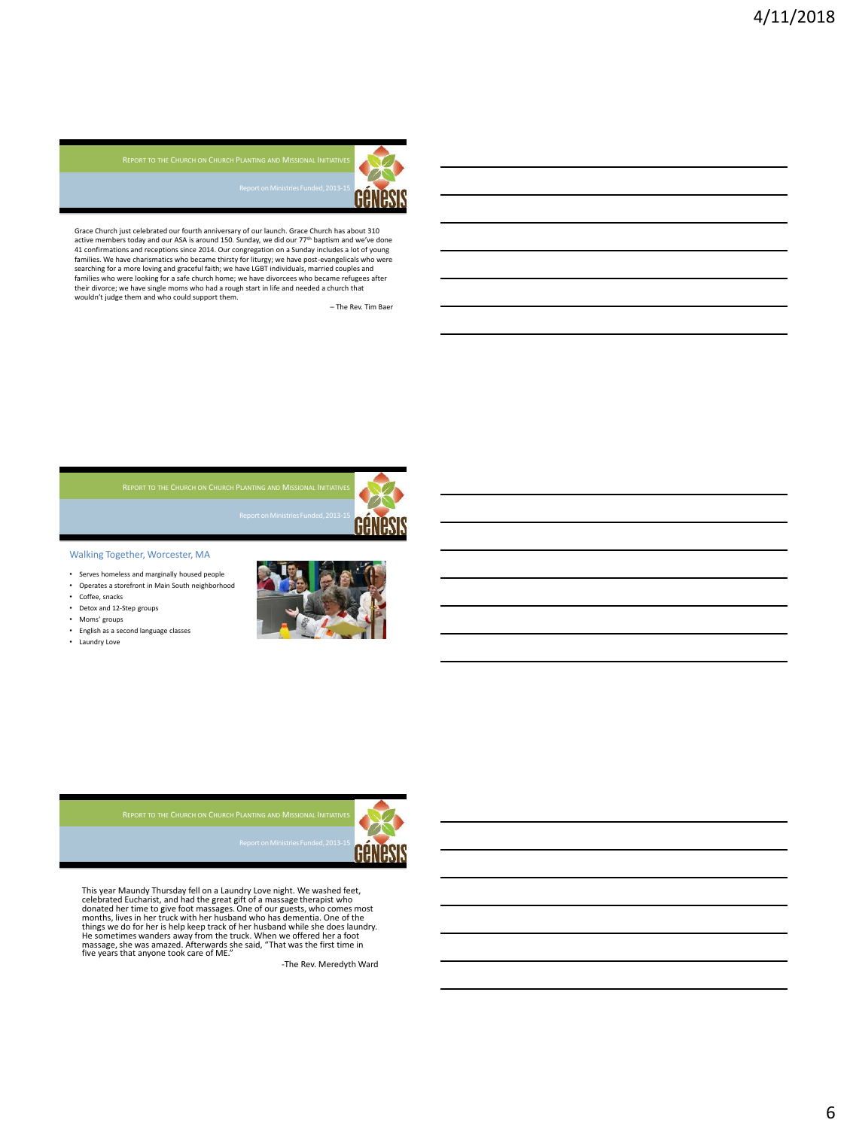

Grace Church just celebrated our fourth anniversary of our launch. Grace Church has about 310 active members today and our ASA is around 150. Sunday, we did our 77<sup>th</sup> baptism and we've done 41 confirmations and receptions since 2014. Our congregation on a Sunday includes a lot of young<br>families. We have charismatics who became thirsty for liturgy; we have post-evangelicals who were<br>searching for a more loving their divorce; we have single moms who had a rough start in life and needed a church that wouldn't judge them and who could support them.

– The Rev. Tim Baer





Walking Together, Worcester, MA

- Serves homeless and marginally housed people
- Operates a storemon<br>• Coffee, snacks • Operates a storefront in Main South neighborhood
- 
- Detox and 12-Step groups • Moms' groups
- MA English as a second language classes
- Laundry Love





celebrated Euc<br>donated her tir months, lives in<br>things we do for He sometimes w years This year Maundy Thursday fell on a Laundry Love night. We washed feet,<br>celebrated Eucharist, and had the great gift of a massage the rapist who<br>donated her time to give foot massages. One of our guests, who comes most<br>mon He sometimes wanders away from the truck. When we offered her a foot<br>massage, she was amazed. Afterwards she said, "That was the first time in<br>five years that anyone took care of ME."

-The Rev. Meredyth Ward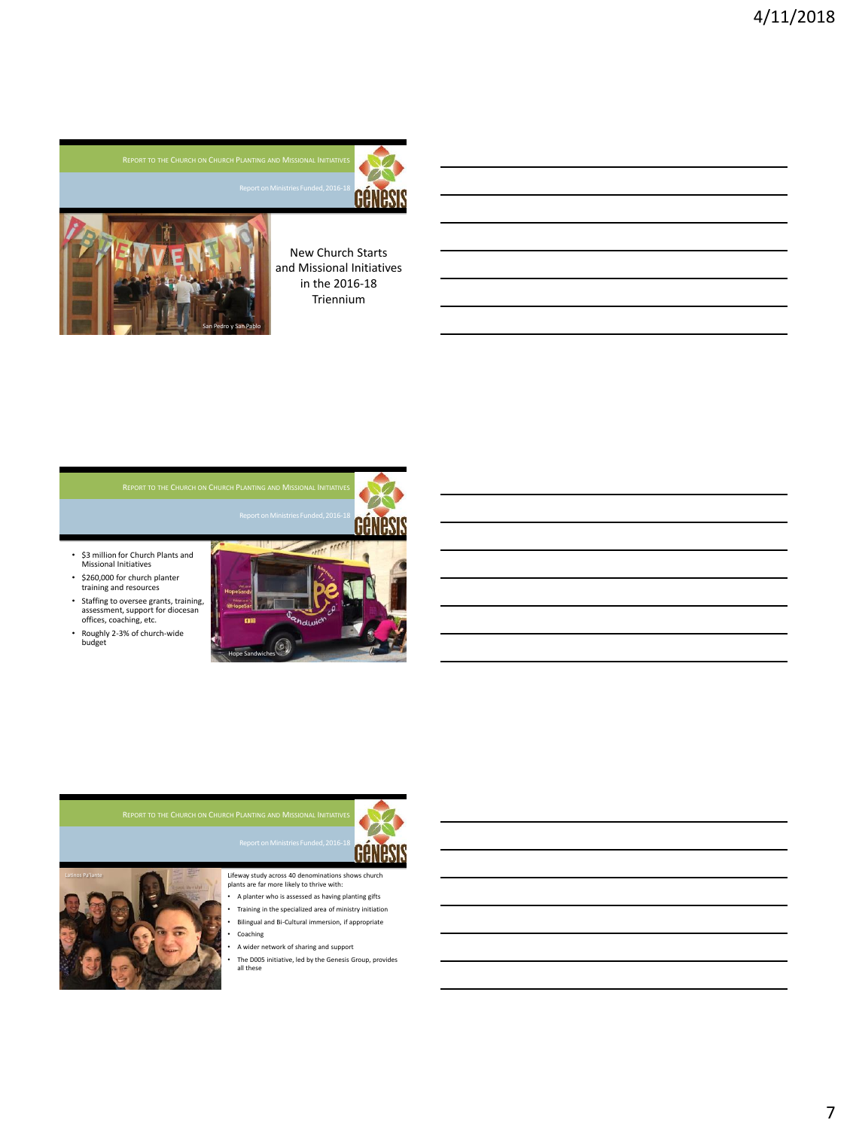



New Church Starts and Missional Initiatives in the 2016-18 Triennium

- \$3 million for Church Plants and Missional Initiatives
- \$260,000 for church planter training and resources
- Staffing to oversee grants, training, assessment, support for diocesan offices, coaching, etc.
- Roughly 2-3% of church-wide budget







Lifeway study across 40 denominations shows church plants are far more likely to thrive with: • A planter who is assessed as having planting gifts

- Training in the specialized area of ministry initiation • Bilingual and Bi-Cultural immersion, if appropriate
- **Coaching**
- A wider network of sharing and support
- The D005 initiative, led by the Genesis Group, provides all these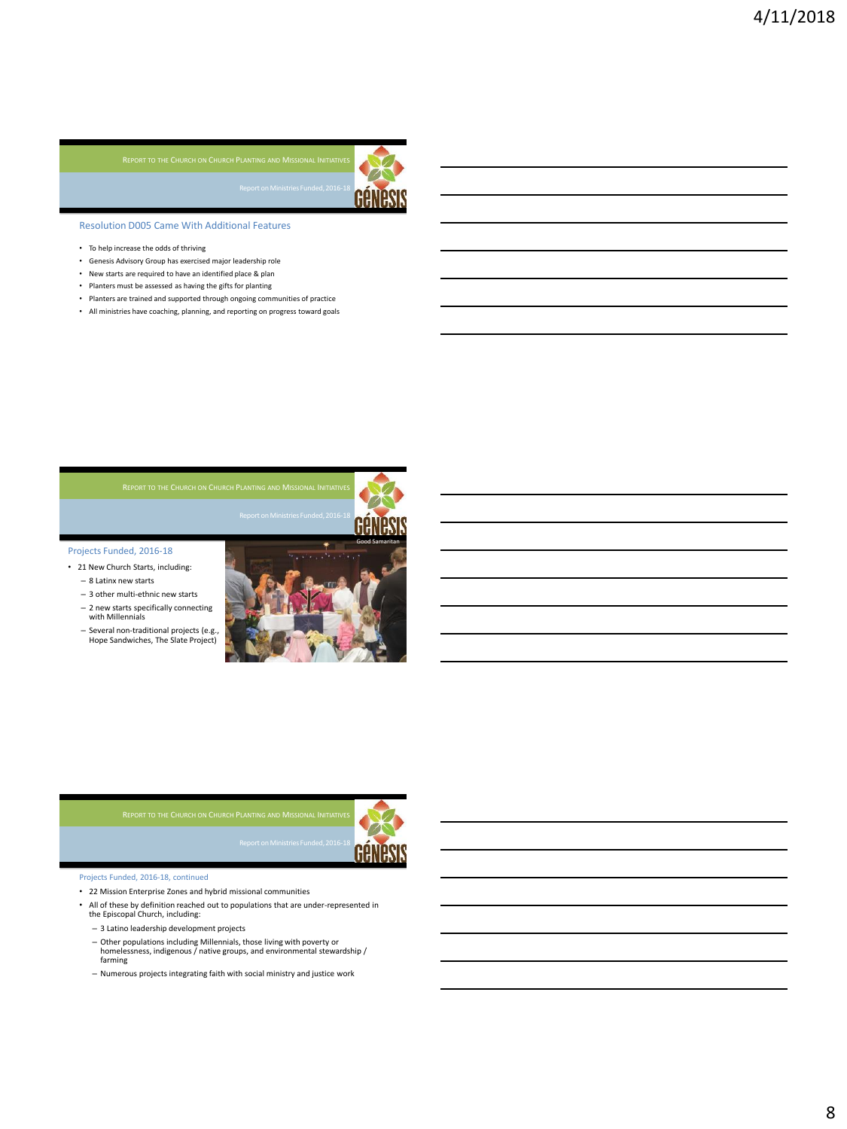Triennium



Resolution D005 Came With Additional Features

- To help increase the odds of thriving
- Genesis Advisory Group has exercised major leadership role
- New starts are required to have an identified place & plan
- Planters must be assessed as having the gifts for planting
- Planters are trained and supported through ongoing communities of practice • All ministries have coaching, planning, and reporting on progress toward goals

### Projects Funded, 2016-18

- 21 New Church Starts, including:
	- 8 Latinx new starts
	- 3 other multi-ethnic new starts
	- 2 new starts specifically connecting with Millennials
	- Several non-traditional projects (e.g., Hope Sandwiches, The Slate Project)





### Projects Funded, 2016-18, continued

- 22 Mission Enterprise Zones and hybrid missional communities
- All of these by definition reached out to populations that are under-represented in
	- the Episcopal Church, including:
	- 3 Latino leadership development projects
	- Other populations including Millennials, those living with poverty or homelessness, indigenous / native groups, and environmental stewardship / farming
	- Numerous projects integrating faith with social ministry and justice work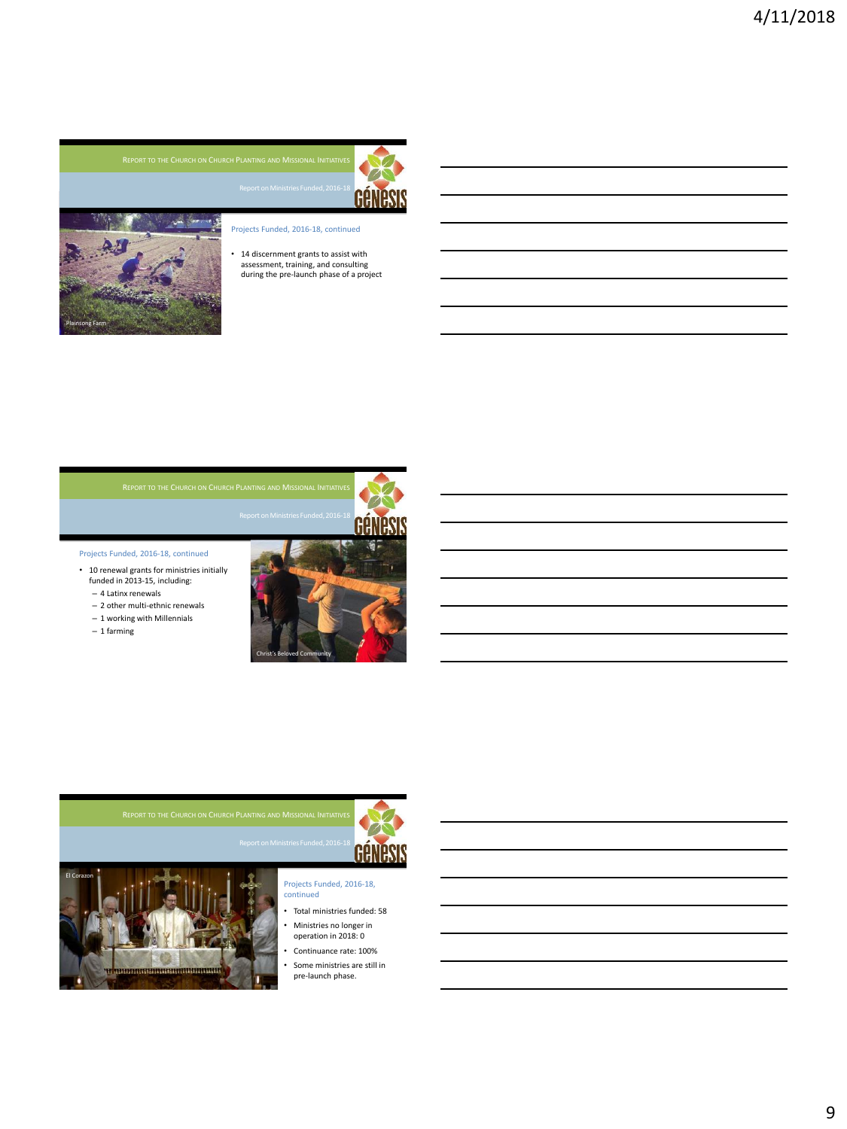



- Projects Funded, 2016-18, continued
- 14 discernment grants to assist with assessment, training, and consulting during the pre-launch phase of a project

Projects Funded, 2016-18, continued

- 10 renewal grants for ministries initially funded in 2013-15, including:
	- 4 Latinx renewals
	- 2 other multi-ethnic renewals
	- 1 working with Millennials
	- 1 farming







### Projects Funded, 2016-18, continued

- Total ministries funded: 58 • Ministries no longer in
- operation in 2018: 0 Continuance rate: 100%
- Some ministries are still in pre-launch phase.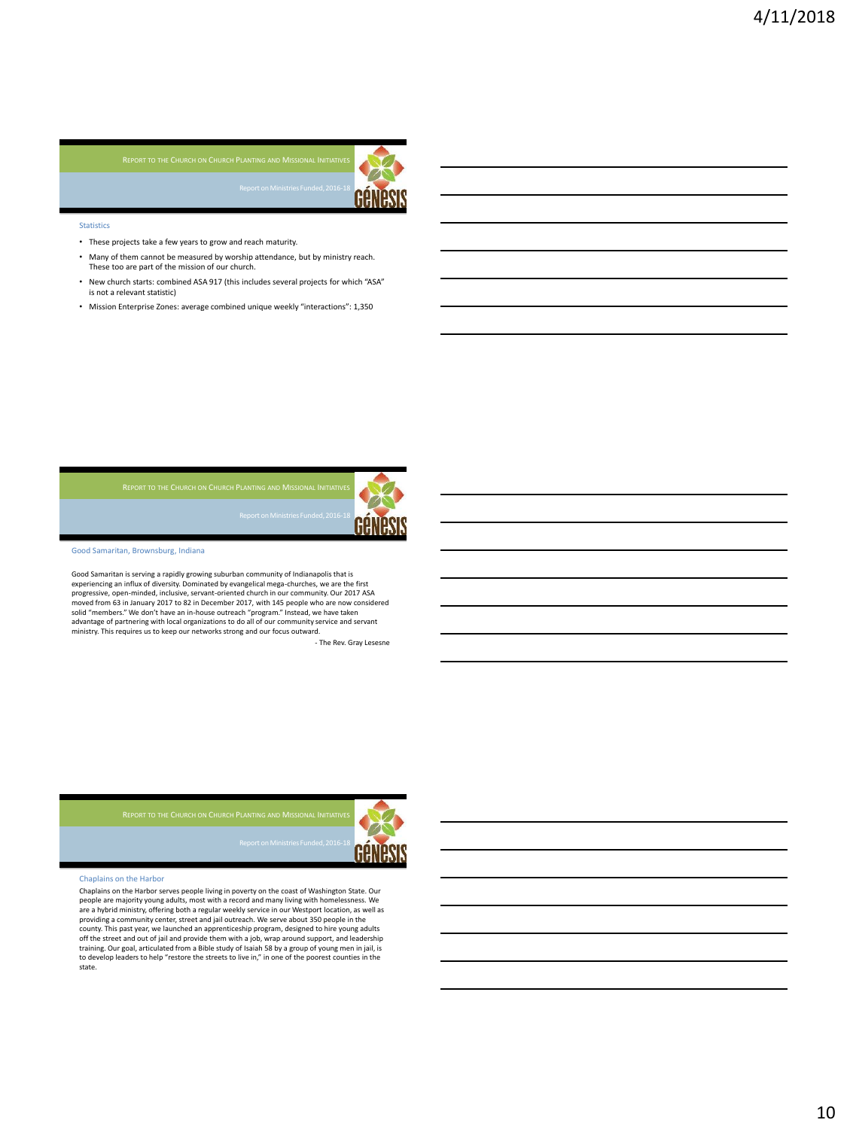

### Statistics

- These projects take a few years to grow and reach maturity.
- Many of them cannot be measured by worship attendance, but by ministry reach. These too are part of the mission of our church.

Triennium

- New church starts: combined ASA 917 (this includes several projects for which "ASA" is not a relevant statistic)
- Mission Enterprise Zones: average combined unique weekly "interactions": 1,350





Good Samaritan, Brownsburg, Indiana

Good Samaritan is serving a rapidly growing suburban community of Indianapolis that is experiencing an influx of diversity. Dominated by evangelical mega-churches, we are the first progressive, open-minded, inclusive, servant-oriented church in our community. Our 2017 ASA moved from 63 in January 2017 to 82 in December 2017, with 145 people who are now considered solid "members." We don't have an in-house outreach "program." Instead, we have taken advantage of partnering with local organizations to do all of our community service and servant ministry. This requires us to keep our networks strong and our focus outward.

Triennium: New Church Starts

- The Rev. Gray Lesesne



### Chaplains on the Harbor

Chaplains on the Harbor serves people living in poverty on the coast of Washington State. Our<br>people are majority young adults, most with a record and many living with homelessness. We<br>are a hybrid ministry, offering both county. This past year, we launched an apprenticeship program, designed to hire young adults off the street and out of jail and provide them with a job, wrap around support, and leadership training. Our goal, articulated from a Bible study of Isaiah 58 by a group of young men in jail, is to develop leaders to help "restore the streets to live in," in one of the poorest counties in the state.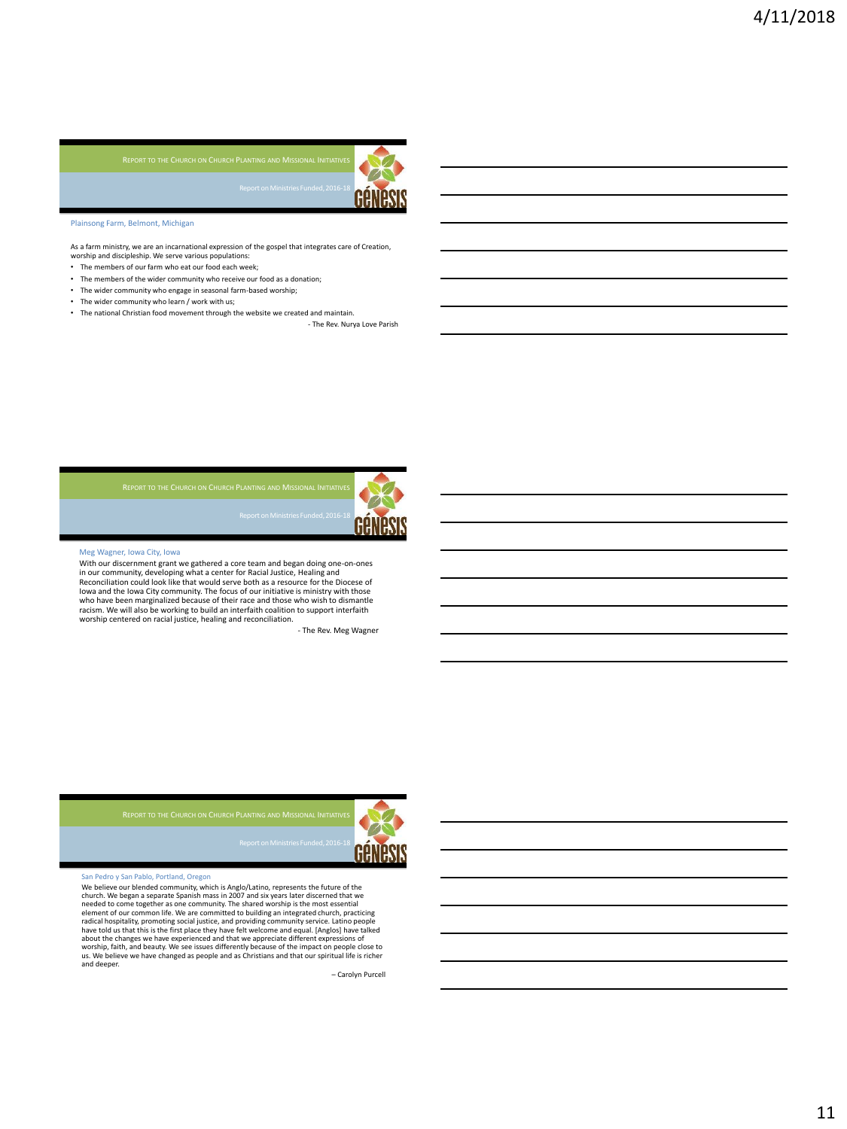

Plainsong Farm, Belmont, Michigan

As a farm ministry, we are an incarnational expression of the gospel that integrates care of Creation,<br>worship and discipleship. We serve various populations:

- The members of our farm who eat our food each week;
- The members of the wider community who receive our food as a donation;<br>• The wider community who engage in seasonal farm-hased worshin:
- The wider community who engage in seasonal farm-based worship;
- The wider community who learn / work with us;
- The national Christian food movement through the website we created and maintain. - The Rev. Nurya Love Parish



### Meg Wagner, Iowa City, Iowa

With our discernment grant we gathered a core team and began doing one-on-ones in our community, developing what a center for Racial Justice, Healing and Reconciliation could look like that would serve both as a resource for the Diocese of Iowa and the Iowa City community. The focus of our initiative is ministry with those who have been marginalized because of their race and those who wish to dismantle racism. We will also be working to build an interfaith coalition to support interfaith worship centered on racial justice, healing and reconciliation.

Triennium: Discernment Grants

- The Rev. Meg Wagner



## 'edro y San Pablo, Portland, Oregon

We believe our blended community, which is Anglo/Latino, represents the future of the chure of the church of the church church church entered to come together as one community. The shared worship is the most essential elem worship, faith, and beauty. We see issues differently because of the impact on people close to us. We believe we have changed as people and as Christians and that our spiritual life is richer and deeper.

Triennium: Renewal Grants

– Carolyn Purcell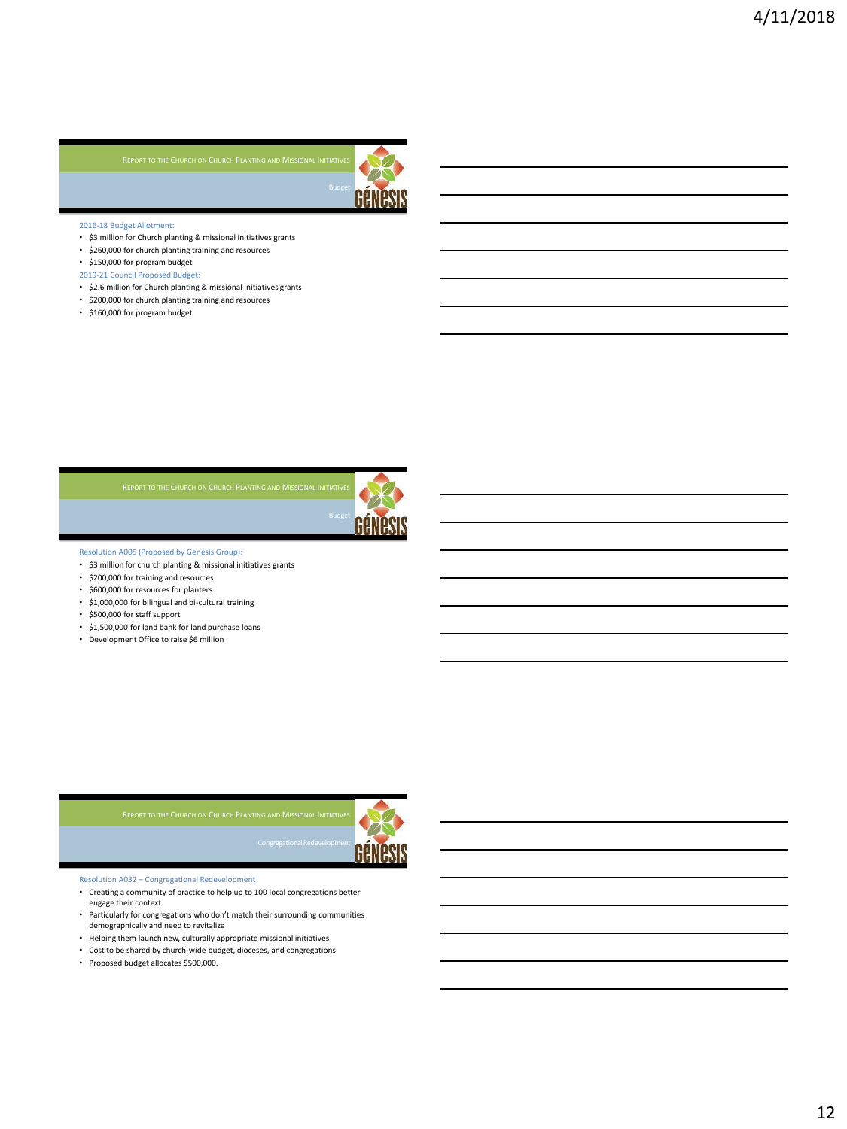Triennium



### 2016-18 Budget Allotment:

- \$3 million for Church planting & missional initiatives grants
- \$260,000 for church planting training and resources
- \$150,000 for program budget
- 2019-21 Council Proposed Budget:
- \$2.6 million for Church planting & missional initiatives grants
- \$200,000 for church planting training and resources
- \$160,000 for program budget

Triennium



Resolution A005 (Proposed by Genesis Group):

- \$3 million for church planting & missional initiatives grants
- \$200,000 for training and resources
- \$600,000 for resources for planters
- \$1,000,000 for bilingual and bi-cultural training
- \$500,000 for staff support
- \$1,500,000 for land bank for land purchase loans
- Development Office to raise \$6 million



Resolution A032 – Congregational Redevelopment

• Creating a community of practice to help up to 100 local congregations better engage their context

Triennium († 1938)<br>1905 - Paul Barnett, francuski filozof, francuski filozof, francuski filozof, francuski filozof, francuski fi<br>1916 - Paul Barnett, francuski filozof, francuski filozof, francuski filozof, francuski filoz

- Particularly for congregations who don't match their surrounding communities demographically and need to revitalize
- Helping them launch new, culturally appropriate missional initiatives
- Cost to be shared by church-wide budget, dioceses, and congregations
- Proposed budget allocates \$500,000.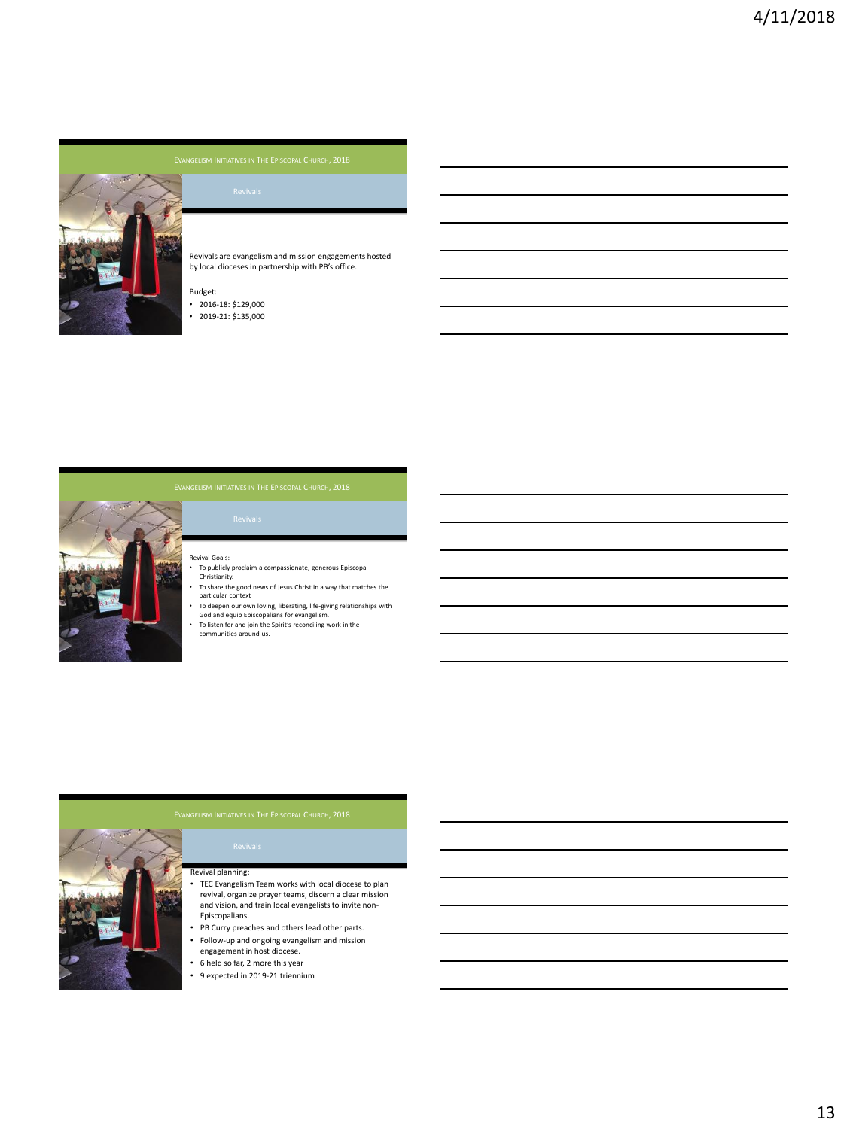

Revivals are evangelism and mission engagements hosted by local dioceses in partnership with PB's office.

## Budget:

- 2016-18: \$129,000 • 2019-21: \$135,000
- 

# The Genesis Project

- evival Goals:
- To publicly proclaim a compassionate, generous Episcopal Christianity.
- To share the good news of Jesus Christ in a way that matches the particular context
- To deepen our own loving, liberating, life-giving relationships with God and equip Episcopalians for evangelism. To listen for and join the Spirit's reconciling work in the communities around us.
- 

# The General planning:<br>The General planning:

- TEC Evangelism Team works with local diocese to plan revival, organize prayer teams, discern a clear mission and vision, and train local evangelists to invite non-Episcopalians.
- PB Curry preaches and others lead other parts. • Follow-up and ongoing evangelism and mission
- engagement in host diocese.
- 6 held so far, 2 more this year
- 9 expected in 2019-21 triennium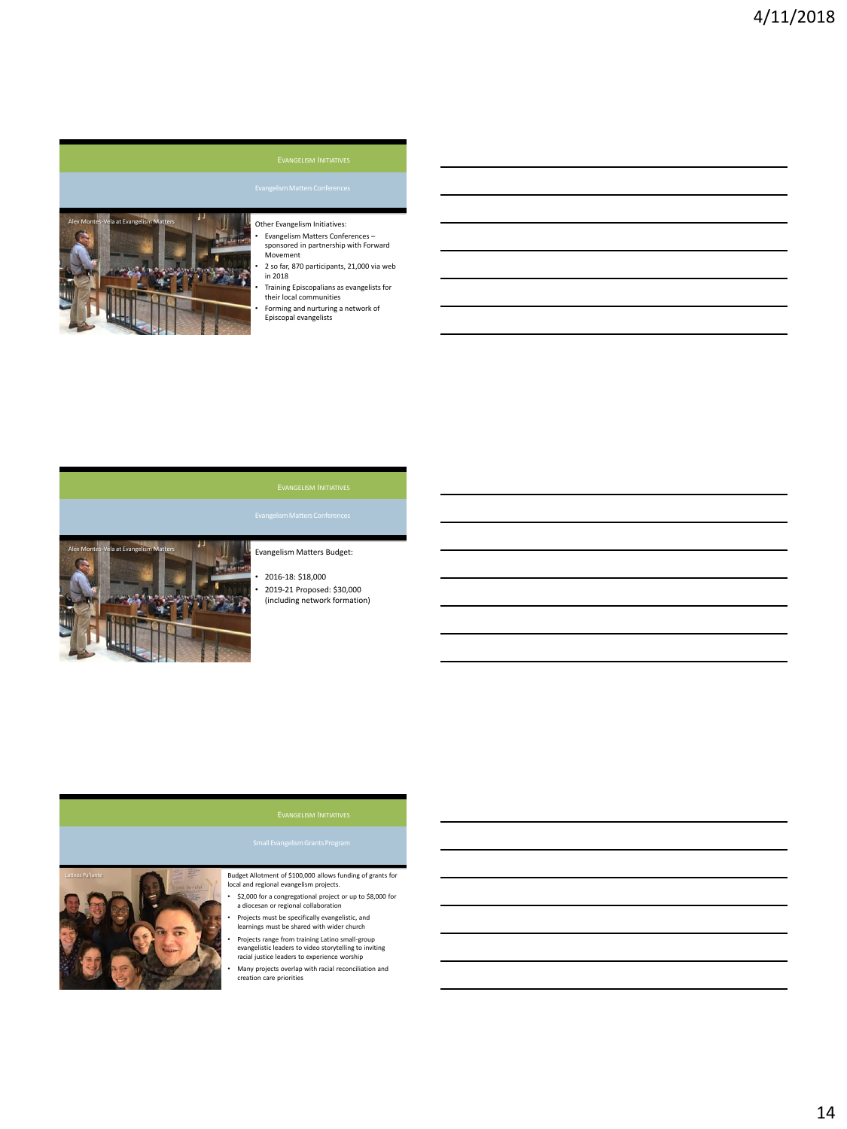

# Other Evangelism Initiatives:

• Evangelism Matters Conferences – sponsored in partnership with Forward Movement

• 2 so far, 870 participants, 21,000 via web in 2018

• Training Episcopalians as evangelists for their local communities

• Forming and nurturing a network of Episcopal evangelists



# Evangelism Matters Budget:

• 2016-18: \$18,000 • 2019-21 Proposed: \$30,000 (including network formation)



# Budget Allotment of \$100,000 allows funding of grants for local and regional evangelism projects.

- \$2,000 for a congregational project or up to \$8,000 for a diocesan or regional collaboration
- Projects must be specifically evangelistic, and learnings must be shared with wider church

• Projects range from training Latino small-group evangelistic leaders to video storytelling to inviting racial justice leaders to experience worship

• Many projects overlap with racial reconciliation and creation care priorities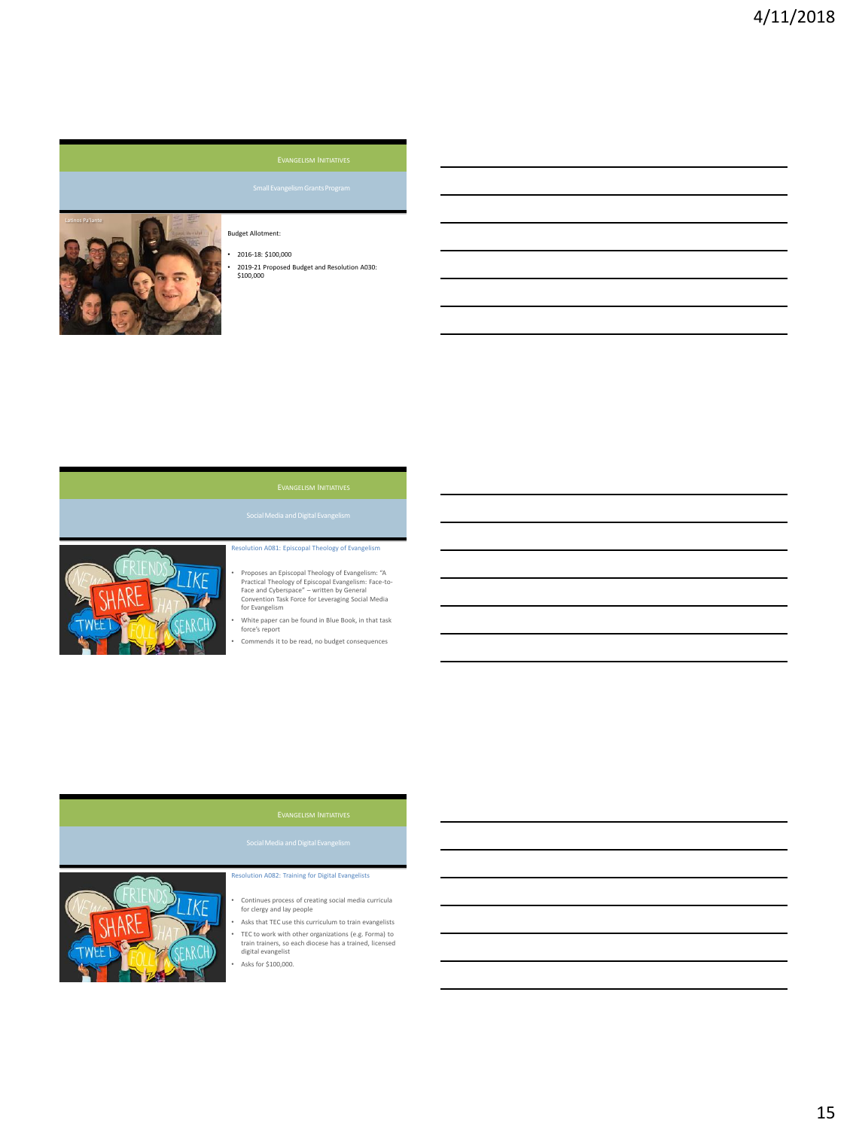

# Budget Allotment:

• 2016-18: \$100,000 • 2019-21 Proposed Budget and Resolution A030: \$100,000



## Resolution A081: Episcopal Theology of Evangelism

- Proposes an Episcopal Theology of Evangelism: "A Practical Theology of Episcopal Evangelism: Face-to-Face and Cyberspace" written by General Convention Task Force for Leveraging Social Media for Evangelism
- White paper can be found in Blue Book, in that task force's report
- Commends it to be read, no budget consequences



## Resolution A082: Training for Digital Evangelists

- Continues process of creating social media curricula for clergy and lay people
- Asks that TEC use this curriculum to train evangelists • TEC to work with other organizations (e.g. Forma) to train trainers, so each diocese has a trained, licensed digital evangelist
	- Asks for \$100,000.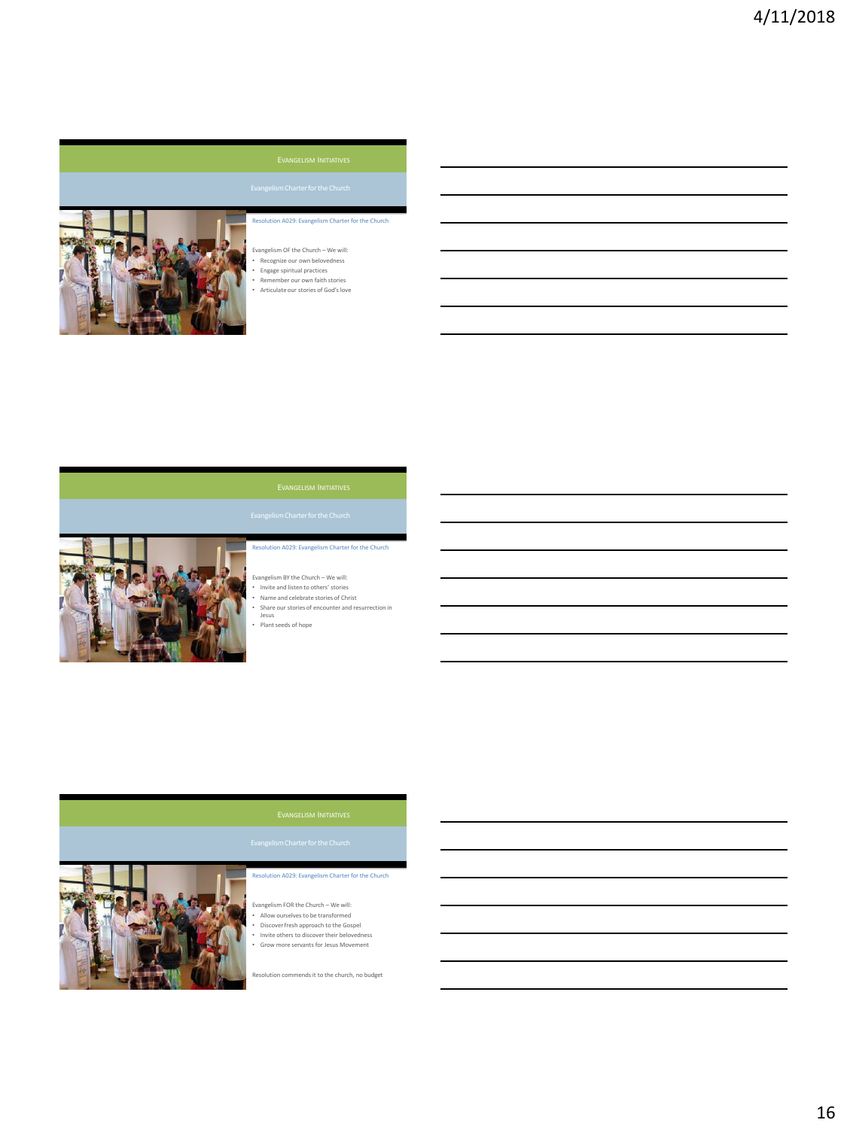

# Resolution A029: Evangelism Charter for the Church

- Evangelism OF the Church We will:
- Recognize our own belovedness • Engage spiritual practices
- Remember our own faith stories
- Articulate our stories of God's love



# Resolution A029: Evangelism Charter for the Church

- Evangelism BY the Church We will:
- Invite and listen to others' stories Name and celebrate stories of Christ
- Share our stories of encounter and resurrection in Jesus
- Plant seeds of hope



# Resolution A029: Evangelism Charter for the Church

- Evangelism FOR the Church We will: Allow ourselves to be transformed
- 
- Discover fresh approach to the Gospel Invite others to discover their belovedness
- Grow more servants for Jesus Movement

Resolution commends it to the church, no budget